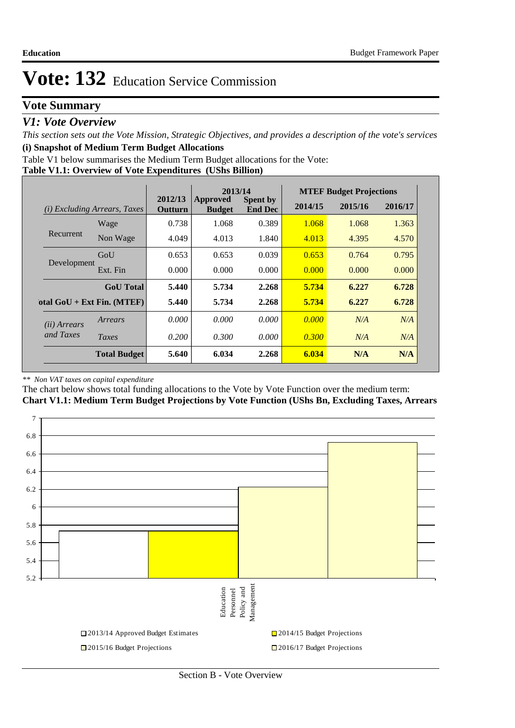# **Vote Summary**

## *V1: Vote Overview*

*This section sets out the Vote Mission, Strategic Objectives, and provides a description of the vote's services* **(i) Snapshot of Medium Term Budget Allocations** 

Table V1 below summarises the Medium Term Budget allocations for the Vote:

### **Table V1.1: Overview of Vote Expenditures (UShs Billion)**

|                       |                                     | 2013/14                   |                           |                                   | <b>MTEF Budget Projections</b> |         |         |
|-----------------------|-------------------------------------|---------------------------|---------------------------|-----------------------------------|--------------------------------|---------|---------|
|                       | <i>(i)</i> Excluding Arrears, Taxes | 2012/13<br><b>Outturn</b> | Approved<br><b>Budget</b> | <b>Spent by</b><br><b>End Dec</b> | 2014/15                        | 2015/16 | 2016/17 |
|                       | Wage                                | 0.738                     | 1.068                     | 0.389                             | 1.068                          | 1.068   | 1.363   |
| Recurrent             | Non Wage                            | 4.049                     | 4.013                     | 1.840                             | 4.013                          | 4.395   | 4.570   |
| GoU                   |                                     | 0.653                     | 0.653                     | 0.039                             | 0.653                          | 0.764   | 0.795   |
| Development           | Ext. Fin                            | 0.000                     | 0.000                     | 0.000                             | 0.000                          | 0.000   | 0.000   |
|                       | <b>GoU</b> Total                    | 5.440                     | 5.734                     | 2.268                             | 5.734                          | 6.227   | 6.728   |
|                       | otal $GoU + Ext Fin. (MTEF)$        | 5.440                     | 5.734                     | 2.268                             | 5.734                          | 6.227   | 6.728   |
| ( <i>ii</i> ) Arrears | Arrears                             | 0.000                     | 0.000                     | 0.000                             | 0.000                          | N/A     | N/A     |
| and Taxes             | Taxes                               | 0.200                     | 0.300                     | 0.000                             | 0.300                          | N/A     | N/A     |
|                       | <b>Total Budget</b>                 | 5.640                     | 6.034                     | 2.268                             | 6.034                          | N/A     | N/A     |

#### *\*\* Non VAT taxes on capital expenditure*

The chart below shows total funding allocations to the Vote by Vote Function over the medium term:

**Chart V1.1: Medium Term Budget Projections by Vote Function (UShs Bn, Excluding Taxes, Arrears**

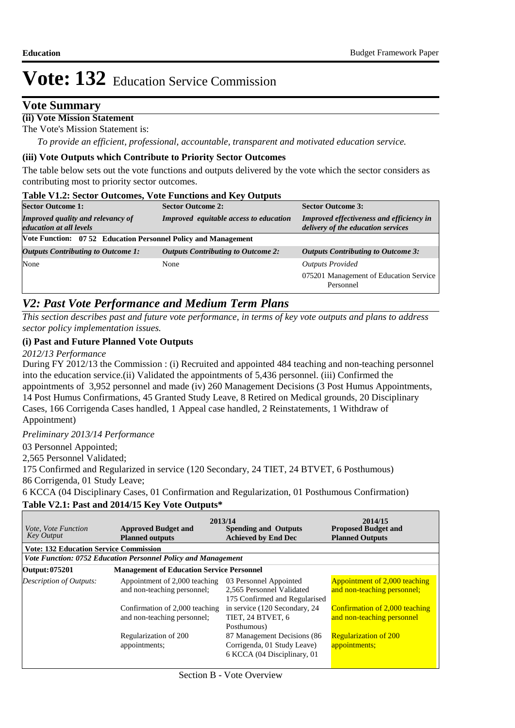## **Vote Summary**

### **(ii) Vote Mission Statement**

The Vote's Mission Statement is:

*To provide an efficient, professional, accountable, transparent and motivated education service.*

#### **(iii) Vote Outputs which Contribute to Priority Sector Outcomes**

The table below sets out the vote functions and outputs delivered by the vote which the sector considers as contributing most to priority sector outcomes.

#### **Table V1.2: Sector Outcomes, Vote Functions and Key Outputs**

| <b>Sector Outcome 1:</b>                                                   | <b>Sector Outcome 2:</b>                      | <b>Sector Outcome 3:</b>                                                              |  |
|----------------------------------------------------------------------------|-----------------------------------------------|---------------------------------------------------------------------------------------|--|
| <b>Improved quality and relevancy of</b><br><i>education at all levels</i> | <b>Improved</b> equitable access to education | <b>Improved effectiveness and efficiency in</b><br>delivery of the education services |  |
| Vote Function: 07 52 Education Personnel Policy and Management             |                                               |                                                                                       |  |
| <b>Outputs Contributing to Outcome 1:</b>                                  | <b>Outputs Contributing to Outcome 2:</b>     | <b>Outputs Contributing to Outcome 3:</b>                                             |  |
| None                                                                       | None                                          | <b>Outputs Provided</b>                                                               |  |
|                                                                            |                                               | 075201 Management of Education Service<br>Personnel                                   |  |

## *V2: Past Vote Performance and Medium Term Plans*

*This section describes past and future vote performance, in terms of key vote outputs and plans to address sector policy implementation issues.* 

### **(i) Past and Future Planned Vote Outputs**

*2012/13 Performance*

During FY 2012/13 the Commission : (i) Recruited and appointed 484 teaching and non-teaching personnel into the education service.(ii) Validated the appointments of 5,436 personnel. (iii) Confirmed the appointments of 3,952 personnel and made (iv) 260 Management Decisions (3 Post Humus Appointments, 14 Post Humus Confirmations, 45 Granted Study Leave, 8 Retired on Medical grounds, 20 Disciplinary Cases, 166 Corrigenda Cases handled, 1 Appeal case handled, 2 Reinstatements, 1 Withdraw of Appointment)

*Preliminary 2013/14 Performance*

03 Personnel Appointed;

2,565 Personnel Validated;

175 Confirmed and Regularized in service (120 Secondary, 24 TIET, 24 BTVET, 6 Posthumous) 86 Corrigenda, 01 Study Leave;

6 KCCA (04 Disciplinary Cases, 01 Confirmation and Regularization, 01 Posthumous Confirmation)

### **Table V2.1: Past and 2014/15 Key Vote Outputs\***

| <i>Vote, Vote Function</i><br><b>Key Output</b> | <b>Approved Budget and</b><br><b>Planned outputs</b>          | 2013/14<br><b>Spending and Outputs</b><br><b>Achieved by End Dec</b>                       | 2014/15<br><b>Proposed Budget and</b><br><b>Planned Outputs</b> |
|-------------------------------------------------|---------------------------------------------------------------|--------------------------------------------------------------------------------------------|-----------------------------------------------------------------|
| <b>Vote: 132 Education Service Commission</b>   |                                                               |                                                                                            |                                                                 |
|                                                 | Vote Function: 0752 Education Personnel Policy and Management |                                                                                            |                                                                 |
| Output: 075201                                  | <b>Management of Education Service Personnel</b>              |                                                                                            |                                                                 |
| Description of Outputs:                         | Appointment of 2,000 teaching<br>and non-teaching personnel;  | 03 Personnel Appointed<br>2,565 Personnel Validated<br>175 Confirmed and Regularised       | Appointment of 2,000 teaching<br>and non-teaching personnel;    |
|                                                 | Confirmation of 2,000 teaching<br>and non-teaching personnel; | in service (120 Secondary, 24)<br>TIET, 24 BTVET, 6<br>Posthumous)                         | Confirmation of 2,000 teaching<br>and non-teaching personnel    |
|                                                 | Regularization of 200<br>appointments;                        | 87 Management Decisions (86<br>Corrigenda, 01 Study Leave)<br>6 KCCA (04 Disciplinary, 01) | <b>Regularization of 200</b><br>appointments;                   |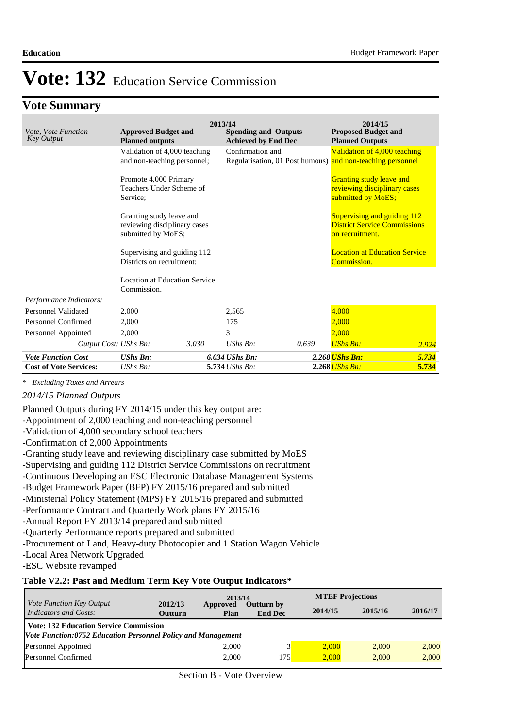## **Vote Summary**

|                                                 |                                                               |       | 2013/14                                                   |       | 2014/15                                                                               |       |
|-------------------------------------------------|---------------------------------------------------------------|-------|-----------------------------------------------------------|-------|---------------------------------------------------------------------------------------|-------|
| <i>Vote, Vote Function</i><br><b>Key Output</b> | <b>Approved Budget and</b><br><b>Planned outputs</b>          |       | <b>Spending and Outputs</b><br><b>Achieved by End Dec</b> |       | <b>Proposed Budget and</b><br><b>Planned Outputs</b>                                  |       |
|                                                 | Validation of 4,000 teaching                                  |       | Confirmation and                                          |       | Validation of 4,000 teaching                                                          |       |
|                                                 | and non-teaching personnel;                                   |       |                                                           |       | Regularisation, 01 Post humous) and non-teaching personnel                            |       |
|                                                 | Promote 4,000 Primary<br>Teachers Under Scheme of<br>Service: |       |                                                           |       | <b>Granting study leave and</b><br>reviewing disciplinary cases<br>submitted by MoES; |       |
|                                                 | Granting study leave and                                      |       |                                                           |       | Supervising and guiding 112                                                           |       |
|                                                 | reviewing disciplinary cases                                  |       |                                                           |       | <b>District Service Commissions</b>                                                   |       |
|                                                 | submitted by MoES;                                            |       |                                                           |       | on recruitment.                                                                       |       |
|                                                 | Supervising and guiding 112                                   |       |                                                           |       | <b>Location at Education Service</b>                                                  |       |
|                                                 | Districts on recruitment;                                     |       |                                                           |       | Commission.                                                                           |       |
|                                                 | Location at Education Service<br>Commission.                  |       |                                                           |       |                                                                                       |       |
| Performance Indicators:                         |                                                               |       |                                                           |       |                                                                                       |       |
| Personnel Validated                             | 2,000                                                         |       | 2,565                                                     |       | 4,000                                                                                 |       |
| Personnel Confirmed                             | 2,000                                                         |       | 175                                                       |       | 2.000                                                                                 |       |
| Personnel Appointed                             | 2,000                                                         |       | 3                                                         |       | 2,000                                                                                 |       |
| Output Cost: UShs Bn:                           |                                                               | 3.030 | $UShs Bn$ :                                               | 0.639 | <b>UShs Bn:</b>                                                                       | 2.924 |
| <b>Vote Function Cost</b>                       | <b>UShs Bn:</b>                                               |       | $6.034$ UShs Bn:                                          |       | 2.268 <i>UShs Bn:</i>                                                                 | 5.734 |
| <b>Cost of Vote Services:</b>                   | $UShs Bn$ :                                                   |       | 5.734 UShs Bn:                                            |       | $2.268$ UShs Bn:                                                                      | 5.734 |

*\* Excluding Taxes and Arrears*

#### *2014/15 Planned Outputs*

Planned Outputs during FY 2014/15 under this key output are:

- -Appointment of 2,000 teaching and non-teaching personnel
- -Validation of 4,000 secondary school teachers
- -Confirmation of 2,000 Appointments
- -Granting study leave and reviewing disciplinary case submitted by MoES
- -Supervising and guiding 112 District Service Commissions on recruitment
- -Continuous Developing an ESC Electronic Database Management Systems
- -Budget Framework Paper (BFP) FY 2015/16 prepared and submitted
- -Ministerial Policy Statement (MPS) FY 2015/16 prepared and submitted
- -Performance Contract and Quarterly Work plans FY 2015/16
- -Annual Report FY 2013/14 prepared and submitted
- -Quarterly Performance reports prepared and submitted
- -Procurement of Land, Heavy-duty Photocopier and 1 Station Wagon Vehicle
- -Local Area Network Upgraded
- -ESC Website revamped

#### **Table V2.2: Past and Medium Term Key Vote Output Indicators\***

| <i>Vote Function Key Output</i>                              |                           | 2013/14          |                                     | <b>MTEF Projections</b> |         |         |
|--------------------------------------------------------------|---------------------------|------------------|-------------------------------------|-------------------------|---------|---------|
| <b>Indicators and Costs:</b>                                 | 2012/13<br><b>Outturn</b> | Approved<br>Plan | <b>Outturn by</b><br><b>End Dec</b> | 2014/15                 | 2015/16 | 2016/17 |
| <b>Vote: 132 Education Service Commission</b>                |                           |                  |                                     |                         |         |         |
| Vote Function:0752 Education Personnel Policy and Management |                           |                  |                                     |                         |         |         |
| Personnel Appointed                                          |                           | 2,000            |                                     | 2.000                   | 2.000   | 2,000   |
| Personnel Confirmed                                          |                           | 2.000            | 175                                 | 2.000                   | 2.000   | 2,000   |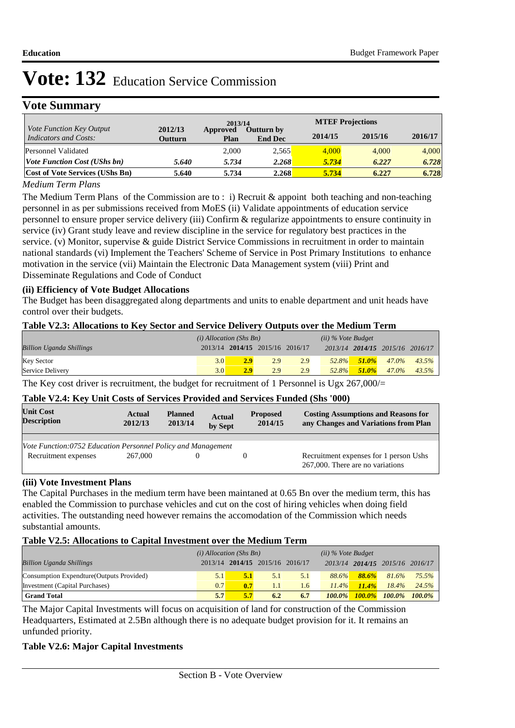# **Vote Summary**

|                                                          |                    | 2013/14          |                                     | <b>MTEF Projections</b> |         |         |
|----------------------------------------------------------|--------------------|------------------|-------------------------------------|-------------------------|---------|---------|
| <i>Vote Function Key Output</i><br>Indicators and Costs: | 2012/13<br>Outturn | Approved<br>Plan | <b>Outturn by</b><br><b>End Dec</b> | 2014/15                 | 2015/16 | 2016/17 |
| Personnel Validated                                      |                    | 2,000            | 2.565                               | 4,000                   | 4.000   | 4,000   |
| <b>Vote Function Cost (UShs bn)</b>                      | 5.640              | 5.734            | 2.268                               | 5.734                   | 6.227   | 6.728   |
| <b>Cost of Vote Services (UShs Bn)</b>                   | 5.640              | 5.734            | 2.268                               | 5.734                   | 6.227   | 6.728   |

### *Medium Term Plans*

The Medium Term Plans of the Commission are to : i) Recruit & appoint both teaching and non-teaching personnel in as per submissions received from MoES (ii) Validate appointments of education service personnel to ensure proper service delivery (iii) Confirm & regularize appointments to ensure continuity in service (iv) Grant study leave and review discipline in the service for regulatory best practices in the service. (v) Monitor, supervise & guide District Service Commissions in recruitment in order to maintain national standards (vi) Implement the Teachers' Scheme of Service in Post Primary Institutions to enhance motivation in the service (vii) Maintain the Electronic Data Management system (viii) Print and Disseminate Regulations and Code of Conduct

### **(ii) Efficiency of Vote Budget Allocations**

The Budget has been disaggregated along departments and units to enable department and unit heads have control over their budgets.

### **Table V2.3: Allocations to Key Sector and Service Delivery Outputs over the Medium Term**

|                                 | $(i)$ Allocation (Shs Bn) |     |                                 | $(ii)$ % Vote Budget |          |           |                                 |          |
|---------------------------------|---------------------------|-----|---------------------------------|----------------------|----------|-----------|---------------------------------|----------|
| <b>Billion Uganda Shillings</b> |                           |     | 2013/14 2014/15 2015/16 2016/17 |                      |          |           | 2013/14 2014/15 2015/16 2016/17 |          |
| <b>Key Sector</b>               | 3.0                       | 2.9 | 2.9                             | 2.9                  | $52.8\%$ | $-51.0\%$ | $47.0\%$                        | $43.5\%$ |
| Service Delivery                | 3.0                       | 2.9 | 2.9                             | 2.9                  | 52.8%    | $51.0\%$  | $47.0\%$                        | $43.5\%$ |

The Key cost driver is recruitment, the budget for recruitment of 1 Personnel is Ugx  $267,000/=$ 

### **Table V2.4: Key Unit Costs of Services Provided and Services Funded (Shs '000)**

| <b>Unit Cost</b><br><b>Description</b>                       | Actual<br>2012/13 | <b>Planned</b><br>2013/14 | <b>Actual</b><br>by Sept | <b>Proposed</b><br>2014/15 | <b>Costing Assumptions and Reasons for</b><br>any Changes and Variations from Plan |
|--------------------------------------------------------------|-------------------|---------------------------|--------------------------|----------------------------|------------------------------------------------------------------------------------|
|                                                              |                   |                           |                          |                            |                                                                                    |
| Vote Function:0752 Education Personnel Policy and Management |                   |                           |                          |                            |                                                                                    |
| Recruitment expenses                                         | 267,000           |                           |                          |                            | Recruitment expenses for 1 person Ushs                                             |
|                                                              |                   |                           |                          |                            | 267,000. There are no variations                                                   |

### **(iii) Vote Investment Plans**

The Capital Purchases in the medium term have been maintaned at 0.65 Bn over the medium term, this has enabled the Commission to purchase vehicles and cut on the cost of hiring vehicles when doing field activities. The outstanding need however remains the accomodation of the Commission which needs substantial amounts.

### **Table V2.5: Allocations to Capital Investment over the Medium Term**

|                                           | $(i)$ Allocation (Shs Bn) |     |                                 | $(ii)$ % Vote Budget |           |          |                                 |       |
|-------------------------------------------|---------------------------|-----|---------------------------------|----------------------|-----------|----------|---------------------------------|-------|
| <b>Billion Uganda Shillings</b>           |                           |     | 2013/14 2014/15 2015/16 2016/17 |                      |           |          | 2013/14 2014/15 2015/16 2016/17 |       |
| Consumption Expendture (Outputs Provided) | 5.1                       | 5.1 | 5.1                             | 5.1                  | 88.6%     | $88.6\%$ | 81.6%                           | 75.5% |
| Investment (Capital Purchases)            | 0.7                       | 0.7 | 1.1                             | 1.6                  | $11.4\%$  | $11.4\%$ | 18.4%                           | 24.5% |
| <b>Grand Total</b>                        | 5.7                       | 5.7 | 6.2                             | 6.7                  | $100.0\%$ |          | $100.0\%$ $100.0\%$ $100.0\%$   |       |

The Major Capital Investments will focus on acquisition of land for construction of the Commission Headquarters, Estimated at 2.5Bn although there is no adequate budget provision for it. It remains an unfunded priority.

### **Table V2.6: Major Capital Investments**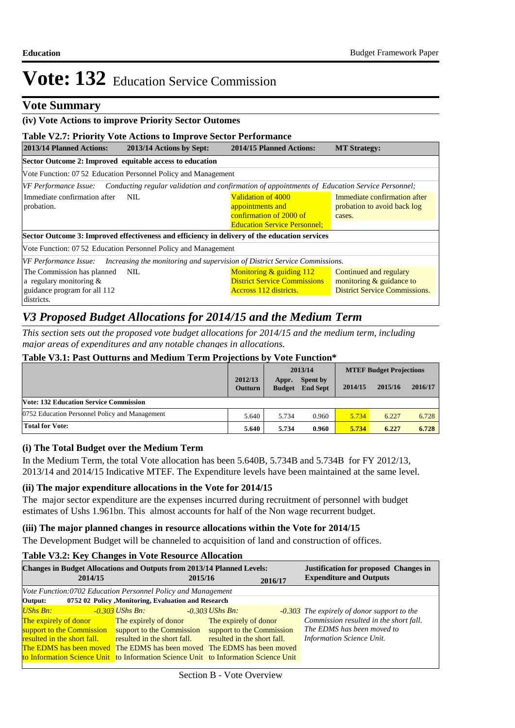### **Vote Summary**

### **(iv) Vote Actions to improve Priority Sector Outomes**

### **Table V2.7: Priority Vote Actions to Improve Sector Performance**

| 2013/14 Planned Actions:                                                                                                                                                                                                               | 2013/14 Actions by Sept:                                       | <b>MT Strategy:</b>                                                                                                   |                                                                                            |  |  |  |  |  |  |  |
|----------------------------------------------------------------------------------------------------------------------------------------------------------------------------------------------------------------------------------------|----------------------------------------------------------------|-----------------------------------------------------------------------------------------------------------------------|--------------------------------------------------------------------------------------------|--|--|--|--|--|--|--|
| Sector Outcome 2: Improved equitable access to education                                                                                                                                                                               |                                                                |                                                                                                                       |                                                                                            |  |  |  |  |  |  |  |
|                                                                                                                                                                                                                                        | Vote Function: 07.52 Education Personnel Policy and Management |                                                                                                                       |                                                                                            |  |  |  |  |  |  |  |
|                                                                                                                                                                                                                                        |                                                                | [VF Performance Issue: Conducting regular validation and confirmation of appointments of Education Service Personnel; |                                                                                            |  |  |  |  |  |  |  |
| Immediate confirmation after<br>Validation of 4000<br>Immediate confirmation after<br>NIL<br>probation to avoid back log<br>probation.<br>appointments and<br>confirmation of 2000 of<br>cases.<br><b>Education Service Personnel:</b> |                                                                |                                                                                                                       |                                                                                            |  |  |  |  |  |  |  |
| Sector Outcome 3: Improved effectiveness and efficiency in delivery of the education services                                                                                                                                          |                                                                |                                                                                                                       |                                                                                            |  |  |  |  |  |  |  |
| Vote Function: 07 52 Education Personnel Policy and Management                                                                                                                                                                         |                                                                |                                                                                                                       |                                                                                            |  |  |  |  |  |  |  |
|                                                                                                                                                                                                                                        |                                                                | VF Performance Issue: Increasing the monitoring and supervision of District Service Commissions.                      |                                                                                            |  |  |  |  |  |  |  |
| The Commission has planned<br>a regulary monitoring $&$<br>guidance program for all 112<br>districts.                                                                                                                                  | NIL.                                                           | Monitoring & guiding 112<br><b>District Service Commissions</b><br>Accross 112 districts.                             | Continued and regulary<br>monitoring & guidance to<br><b>District Service Commissions.</b> |  |  |  |  |  |  |  |

# *V3 Proposed Budget Allocations for 2014/15 and the Medium Term*

*This section sets out the proposed vote budget allocations for 2014/15 and the medium term, including major areas of expenditures and any notable changes in allocations.* 

#### **Table V3.1: Past Outturns and Medium Term Projections by Vote Function\***

|                                                |                           | 2013/14                |                                    | <b>MTEF Budget Projections</b> |         |         |  |  |
|------------------------------------------------|---------------------------|------------------------|------------------------------------|--------------------------------|---------|---------|--|--|
|                                                | 2012/13<br><b>Outturn</b> | Appr.<br><b>Budget</b> | <b>Spent by</b><br><b>End Sept</b> | 2014/15                        | 2015/16 | 2016/17 |  |  |
| <b>Vote: 132 Education Service Commission</b>  |                           |                        |                                    |                                |         |         |  |  |
| 0752 Education Personnel Policy and Management | 5.640                     | 5.734                  | 0.960                              | 5.734                          | 6.227   | 6.728   |  |  |
| <b>Total for Vote:</b>                         | 5.640                     | 5.734                  | 0.960                              | 5.734                          | 6.227   | 6.728   |  |  |

### **(i) The Total Budget over the Medium Term**

In the Medium Term, the total Vote allocation has been 5.640B, 5.734B and 5.734B for FY 2012/13, 2013/14 and 2014/15 Indicative MTEF. The Expenditure levels have been maintained at the same level.

### **(ii) The major expenditure allocations in the Vote for 2014/15**

The major sector expenditure are the expenses incurred during recruitment of personnel with budget estimates of Ushs 1.961bn. This almost accounts for half of the Non wage recurrent budget.

#### **(iii) The major planned changes in resource allocations within the Vote for 2014/15**

The Development Budget will be channeled to acquisition of land and construction of offices.

### **Table V3.2: Key Changes in Vote Resource Allocation**

|                                                                       | 2014/15 | <b>Changes in Budget Allocations and Outputs from 2013/14 Planned Levels:</b>                                                                                                                 | 2015/16 |                                                                         | 2016/17 | <b>Justification for proposed Changes in</b><br><b>Expenditure and Outputs</b>                                      |
|-----------------------------------------------------------------------|---------|-----------------------------------------------------------------------------------------------------------------------------------------------------------------------------------------------|---------|-------------------------------------------------------------------------|---------|---------------------------------------------------------------------------------------------------------------------|
|                                                                       |         | Vote Function:0702 Education Personnel Policy and Management                                                                                                                                  |         |                                                                         |         |                                                                                                                     |
| Output:                                                               |         | 0752 02 Policy , Monitoring, Evaluation and Research                                                                                                                                          |         |                                                                         |         |                                                                                                                     |
| <b>UShs Bn:</b><br>The expirely of donor<br>support to the Commission |         | -0.303 UShs Bn:<br>The expirely of donor<br>support to the Commission                                                                                                                         |         | $-0.303$ UShs Bn:<br>The expirely of donor<br>support to the Commission |         | -0.303 The expirely of donor support to the<br>Commission resulted in the short fall.<br>The EDMS has been moved to |
| resulted in the short fall.                                           |         | resulted in the short fall.<br>The EDMS has been moved The EDMS has been moved The EDMS has been moved<br>to Information Science Unit to Information Science Unit to Information Science Unit |         | resulted in the short fall.                                             |         | Information Science Unit.                                                                                           |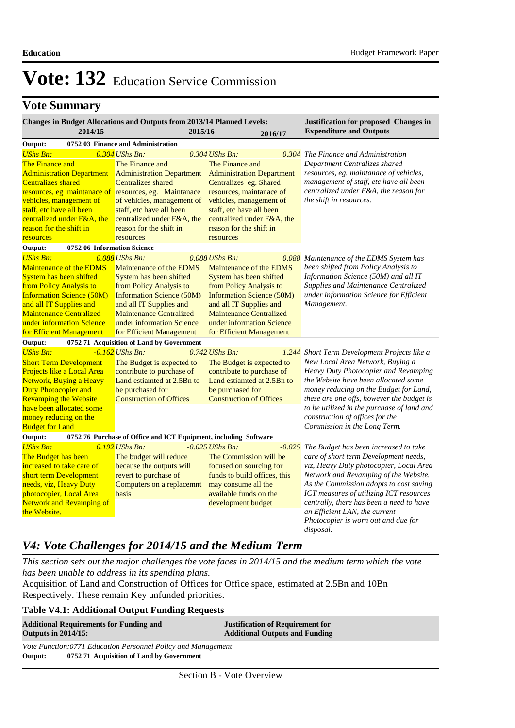# **Vote Summary**

| <b>Changes in Budget Allocations and Outputs from 2013/14 Planned Levels:</b>                                                                                                                                                                              | Justification for proposed Changes in                                                                                                                                                                                                                     |                                                                                                                                                                                                                                                             |                                                                                                                                                                                                                                                                                                                                                                                                  |  |
|------------------------------------------------------------------------------------------------------------------------------------------------------------------------------------------------------------------------------------------------------------|-----------------------------------------------------------------------------------------------------------------------------------------------------------------------------------------------------------------------------------------------------------|-------------------------------------------------------------------------------------------------------------------------------------------------------------------------------------------------------------------------------------------------------------|--------------------------------------------------------------------------------------------------------------------------------------------------------------------------------------------------------------------------------------------------------------------------------------------------------------------------------------------------------------------------------------------------|--|
| 2014/15                                                                                                                                                                                                                                                    | 2015/16                                                                                                                                                                                                                                                   | 2016/17                                                                                                                                                                                                                                                     | <b>Expenditure and Outputs</b>                                                                                                                                                                                                                                                                                                                                                                   |  |
| Output:                                                                                                                                                                                                                                                    | 0752 03 Finance and Administration                                                                                                                                                                                                                        |                                                                                                                                                                                                                                                             |                                                                                                                                                                                                                                                                                                                                                                                                  |  |
| <b>UShs Bn:</b><br><b>The Finance and</b><br><b>Administration Department</b><br><b>Centralizes shared</b><br>resources, eg maintanace of resources, eg. Maintanace                                                                                        | $0.304$ UShs Bn:<br>The Finance and<br><b>Administration Department</b><br>Centralizes shared                                                                                                                                                             | $0.304$ UShs Bn:<br>The Finance and<br><b>Administration Department</b><br>Centralizes eg. Shared<br>resources, maintanace of                                                                                                                               | 0.304 The Finance and Administration<br>Department Centralizes shared<br>resources, eg. maintanace of vehicles,<br>management of staff, etc have all been<br>centralized under F&A, the reason for                                                                                                                                                                                               |  |
| vehicles, management of<br>staff, etc have all been<br>centralized under F&A, the<br>reason for the shift in<br>resources                                                                                                                                  | of vehicles, management of<br>staff, etc have all been<br>centralized under F&A, the<br>reason for the shift in<br>resources                                                                                                                              | vehicles, management of<br>staff, etc have all been<br>centralized under F&A, the<br>reason for the shift in<br>resources                                                                                                                                   | the shift in resources.                                                                                                                                                                                                                                                                                                                                                                          |  |
| Output:<br>0752 06 Information Science                                                                                                                                                                                                                     |                                                                                                                                                                                                                                                           |                                                                                                                                                                                                                                                             |                                                                                                                                                                                                                                                                                                                                                                                                  |  |
| <b>UShs Bn:</b><br>Maintenance of the EDMS<br>System has been shifted<br>from Policy Analysis to<br><b>Information Science (50M)</b><br>and all IT Supplies and<br><b>Maintenance Centralized</b><br>under information Science<br>for Efficient Management | 0.088 UShs Bn:<br>Maintenance of the EDMS<br>System has been shifted<br>from Policy Analysis to<br><b>Information Science (50M)</b><br>and all IT Supplies and<br><b>Maintenance Centralized</b><br>under information Science<br>for Efficient Management | $0.088$ UShs Bn:<br>Maintenance of the EDMS<br>System has been shifted<br>from Policy Analysis to<br><b>Information Science (50M)</b><br>and all IT Supplies and<br><b>Maintenance Centralized</b><br>under information Science<br>for Efficient Management | 0.088 Maintenance of the EDMS System has<br>been shifted from Policy Analysis to<br>Information Science (50M) and all IT<br>Supplies and Maintenance Centralized<br>under information Science for Efficient<br>Management.                                                                                                                                                                       |  |
| Output:<br>0752 71 Acquisition of Land by Government                                                                                                                                                                                                       |                                                                                                                                                                                                                                                           |                                                                                                                                                                                                                                                             |                                                                                                                                                                                                                                                                                                                                                                                                  |  |
| <b>UShs Bn:</b><br><b>Short Term Development</b><br>Projects like a Local Area<br>Network, Buying a Heavy<br>Duty Photocopier and<br><b>Revamping the Website</b><br>have been allocated some<br>money reducing on the<br><b>Budget for Land</b>           | $-0.162$ UShs Bn:<br>The Budget is expected to<br>contribute to purchase of<br>Land estiamted at 2.5Bn to<br>be purchased for<br><b>Construction of Offices</b>                                                                                           | 0.742 UShs Bn:<br>1.244<br>The Budget is expected to<br>contribute to purchase of<br>Land estiamted at 2.5Bn to<br>be purchased for<br><b>Construction of Offices</b>                                                                                       | Short Term Development Projects like a<br>New Local Area Network, Buying a<br>Heavy Duty Photocopier and Revamping<br>the Website have been allocated some<br>money reducing on the Budget for Land,<br>these are one offs, however the budget is<br>to be utilized in the purchase of land and<br>construction of offices for the<br>Commission in the Long Term.                               |  |
| Output:<br>0752 76 Purchase of Office and ICT Equipment, including Software                                                                                                                                                                                |                                                                                                                                                                                                                                                           |                                                                                                                                                                                                                                                             |                                                                                                                                                                                                                                                                                                                                                                                                  |  |
| <b>UShs Bn:</b><br>The Budget has been<br>increased to take care of<br>short term Development<br>needs, viz, Heavy Duty<br>photocopier, Local Area<br><b>Network and Revamping of</b><br>the Website.                                                      | 0.192 UShs Bn:<br>The budget will reduce<br>because the outputs will<br>revert to purchase of<br>Computers on a replacemnt<br>basis                                                                                                                       | $-0.025$ UShs Bn:<br>The Commission will be<br>focused on sourcing for<br>funds to build offices, this<br>may consume all the<br>available funds on the<br>development budget                                                                               | -0.025 The Budget has been increased to take<br>care of short term Development needs,<br>viz, Heavy Duty photocopier, Local Area<br>Network and Revamping of the Website.<br>As the Commission adopts to cost saving<br>ICT measures of utilizing ICT resources<br>centrally, there has been a need to have<br>an Efficient LAN, the current<br>Photocopier is worn out and due for<br>disposal. |  |

# *V4: Vote Challenges for 2014/15 and the Medium Term*

*This section sets out the major challenges the vote faces in 2014/15 and the medium term which the vote has been unable to address in its spending plans.*

Acquisition of Land and Construction of Offices for Office space, estimated at 2.5Bn and 10Bn Respectively. These remain Key unfunded priorities.

### **Table V4.1: Additional Output Funding Requests**

| <b>Additional Requirements for Funding and</b><br><b>Outputs in 2014/15:</b> | <b>Justification of Requirement for</b><br><b>Additional Outputs and Funding</b> |  |  |  |
|------------------------------------------------------------------------------|----------------------------------------------------------------------------------|--|--|--|
| Vote Function:0771 Education Personnel Policy and Management                 |                                                                                  |  |  |  |
| Output:<br>0752 71 Acquisition of Land by Government                         |                                                                                  |  |  |  |